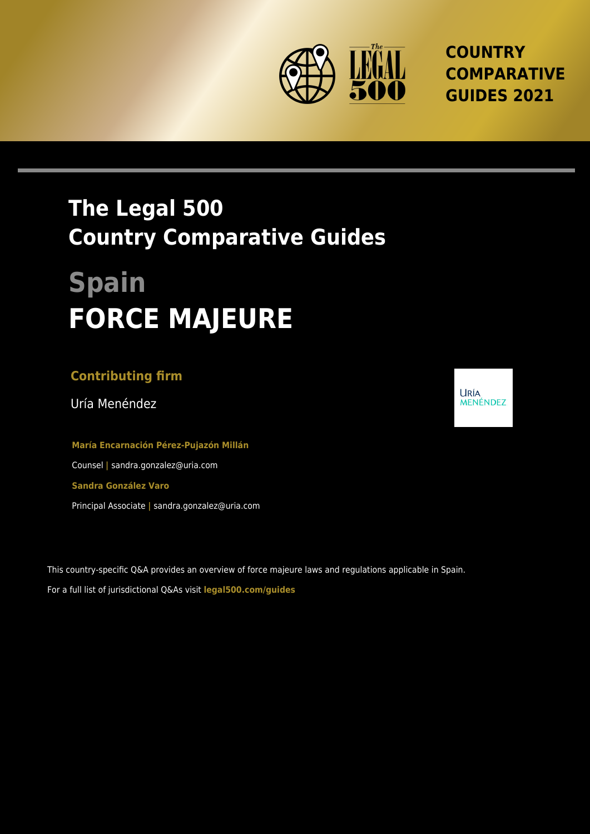

**COUNTRY COMPARATIVE GUIDES 2021**

## **The Legal 500 Country Comparative Guides**

# **Spain FORCE MAJEURE**

### **Contributing firm**

Uría Menéndez

**María Encarnación Pérez-Pujazón Millán** Counsel **|** sandra.gonzalez@uria.com **Sandra González Varo** Principal Associate **|** sandra.gonzalez@uria.com

This country-specific Q&A provides an overview of force majeure laws and regulations applicable in Spain. For a full list of jurisdictional Q&As visit **[legal500.com/guides](https://www.legal500.com/guides/)**

**URÍA** MENÉNDEZ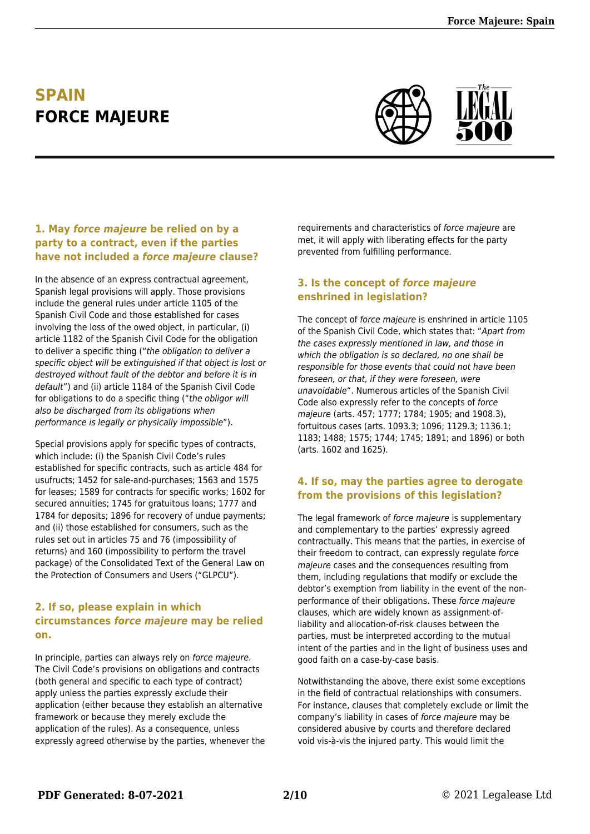## **SPAIN FORCE MAJEURE**



#### **1. May** *force majeure* **be relied on by a party to a contract, even if the parties have not included a** *force majeure* **clause?**

In the absence of an express contractual agreement, Spanish legal provisions will apply. Those provisions include the general rules under article 1105 of the Spanish Civil Code and those established for cases involving the loss of the owed object, in particular, (i) article 1182 of the Spanish Civil Code for the obligation to deliver a specific thing ("the obligation to deliver a specific object will be extinguished if that object is lost or destroyed without fault of the debtor and before it is in default") and (ii) article 1184 of the Spanish Civil Code for obligations to do a specific thing ("the obligor will also be discharged from its obligations when performance is legally or physically impossible").

Special provisions apply for specific types of contracts, which include: (i) the Spanish Civil Code's rules established for specific contracts, such as article 484 for usufructs; 1452 for sale-and-purchases; 1563 and 1575 for leases; 1589 for contracts for specific works; 1602 for secured annuities; 1745 for gratuitous loans; 1777 and 1784 for deposits; 1896 for recovery of undue payments; and (ii) those established for consumers, such as the rules set out in articles 75 and 76 (impossibility of returns) and 160 (impossibility to perform the travel package) of the Consolidated Text of the General Law on the Protection of Consumers and Users ("GLPCU").

#### **2. If so, please explain in which circumstances** *force majeure* **may be relied on.**

In principle, parties can always rely on force majeure. The Civil Code's provisions on obligations and contracts (both general and specific to each type of contract) apply unless the parties expressly exclude their application (either because they establish an alternative framework or because they merely exclude the application of the rules). As a consequence, unless expressly agreed otherwise by the parties, whenever the requirements and characteristics of force majeure are met, it will apply with liberating effects for the party prevented from fulfilling performance.

#### **3. Is the concept of** *force majeure* **enshrined in legislation?**

The concept of force majeure is enshrined in article 1105 of the Spanish Civil Code, which states that: "Apart from the cases expressly mentioned in law, and those in which the obligation is so declared, no one shall be responsible for those events that could not have been foreseen, or that, if they were foreseen, were unavoidable". Numerous articles of the Spanish Civil Code also expressly refer to the concepts of force majeure (arts. 457; 1777; 1784; 1905; and 1908.3), fortuitous cases (arts. 1093.3; 1096; 1129.3; 1136.1; 1183; 1488; 1575; 1744; 1745; 1891; and 1896) or both (arts. 1602 and 1625).

#### **4. If so, may the parties agree to derogate from the provisions of this legislation?**

The legal framework of force majeure is supplementary and complementary to the parties' expressly agreed contractually. This means that the parties, in exercise of their freedom to contract, can expressly regulate force majeure cases and the consequences resulting from them, including regulations that modify or exclude the debtor's exemption from liability in the event of the nonperformance of their obligations. These force majeure clauses, which are widely known as assignment-ofliability and allocation-of-risk clauses between the parties, must be interpreted according to the mutual intent of the parties and in the light of business uses and good faith on a case-by-case basis.

Notwithstanding the above, there exist some exceptions in the field of contractual relationships with consumers. For instance, clauses that completely exclude or limit the company's liability in cases of force majeure may be considered abusive by courts and therefore declared void vis-à-vis the injured party. This would limit the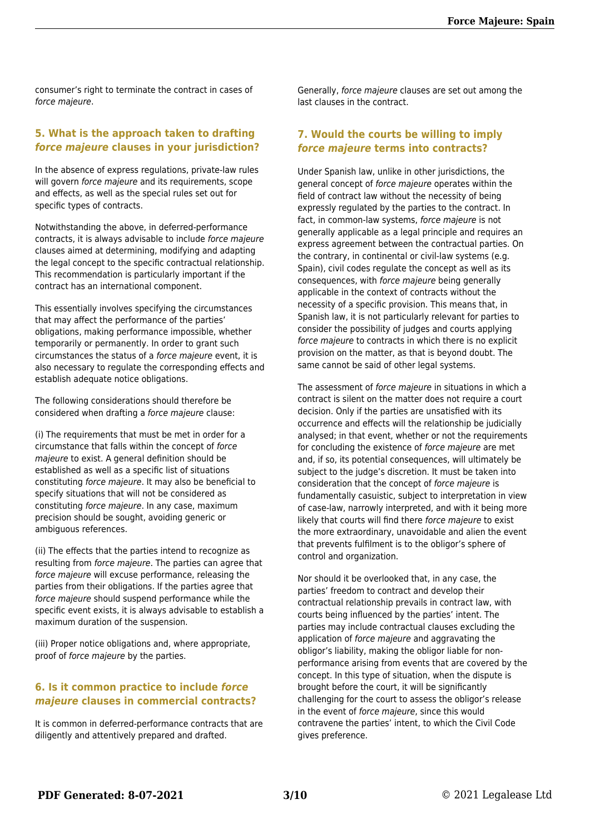consumer's right to terminate the contract in cases of force majeure.

#### **5. What is the approach taken to drafting** *force majeure* **clauses in your jurisdiction?**

In the absence of express regulations, private-law rules will govern force majeure and its requirements, scope and effects, as well as the special rules set out for specific types of contracts.

Notwithstanding the above, in deferred-performance contracts, it is always advisable to include force majeure clauses aimed at determining, modifying and adapting the legal concept to the specific contractual relationship. This recommendation is particularly important if the contract has an international component.

This essentially involves specifying the circumstances that may affect the performance of the parties' obligations, making performance impossible, whether temporarily or permanently. In order to grant such circumstances the status of a force majeure event, it is also necessary to regulate the corresponding effects and establish adequate notice obligations.

The following considerations should therefore be considered when drafting a force majeure clause:

(i) The requirements that must be met in order for a circumstance that falls within the concept of force majeure to exist. A general definition should be established as well as a specific list of situations constituting force majeure. It may also be beneficial to specify situations that will not be considered as constituting force majeure. In any case, maximum precision should be sought, avoiding generic or ambiguous references.

(ii) The effects that the parties intend to recognize as resulting from force majeure. The parties can agree that force majeure will excuse performance, releasing the parties from their obligations. If the parties agree that force majeure should suspend performance while the specific event exists, it is always advisable to establish a maximum duration of the suspension.

(iii) Proper notice obligations and, where appropriate, proof of force majeure by the parties.

#### **6. Is it common practice to include** *force majeure* **clauses in commercial contracts?**

It is common in deferred-performance contracts that are diligently and attentively prepared and drafted.

Generally, force majeure clauses are set out among the last clauses in the contract.

#### **7. Would the courts be willing to imply** *force majeure* **terms into contracts?**

Under Spanish law, unlike in other jurisdictions, the general concept of force majeure operates within the field of contract law without the necessity of being expressly regulated by the parties to the contract. In fact, in common-law systems, force majeure is not generally applicable as a legal principle and requires an express agreement between the contractual parties. On the contrary, in continental or civil-law systems (e.g. Spain), civil codes regulate the concept as well as its consequences, with force majeure being generally applicable in the context of contracts without the necessity of a specific provision. This means that, in Spanish law, it is not particularly relevant for parties to consider the possibility of judges and courts applying force majeure to contracts in which there is no explicit provision on the matter, as that is beyond doubt. The same cannot be said of other legal systems.

The assessment of force majeure in situations in which a contract is silent on the matter does not require a court decision. Only if the parties are unsatisfied with its occurrence and effects will the relationship be judicially analysed; in that event, whether or not the requirements for concluding the existence of force majeure are met and, if so, its potential consequences, will ultimately be subject to the judge's discretion. It must be taken into consideration that the concept of force majeure is fundamentally casuistic, subject to interpretation in view of case-law, narrowly interpreted, and with it being more likely that courts will find there force majeure to exist the more extraordinary, unavoidable and alien the event that prevents fulfilment is to the obligor's sphere of control and organization.

Nor should it be overlooked that, in any case, the parties' freedom to contract and develop their contractual relationship prevails in contract law, with courts being influenced by the parties' intent. The parties may include contractual clauses excluding the application of force majeure and aggravating the obligor's liability, making the obligor liable for nonperformance arising from events that are covered by the concept. In this type of situation, when the dispute is brought before the court, it will be significantly challenging for the court to assess the obligor's release in the event of force majeure, since this would contravene the parties' intent, to which the Civil Code gives preference.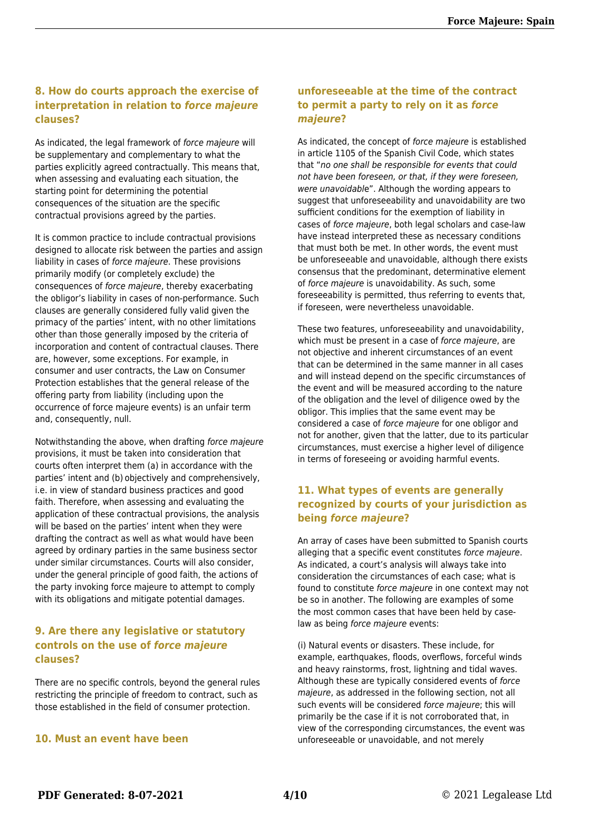#### **8. How do courts approach the exercise of interpretation in relation to** *force majeure* **clauses?**

As indicated, the legal framework of force majeure will be supplementary and complementary to what the parties explicitly agreed contractually. This means that, when assessing and evaluating each situation, the starting point for determining the potential consequences of the situation are the specific contractual provisions agreed by the parties.

It is common practice to include contractual provisions designed to allocate risk between the parties and assign liability in cases of force majeure. These provisions primarily modify (or completely exclude) the consequences of force majeure, thereby exacerbating the obligor's liability in cases of non-performance. Such clauses are generally considered fully valid given the primacy of the parties' intent, with no other limitations other than those generally imposed by the criteria of incorporation and content of contractual clauses. There are, however, some exceptions. For example, in consumer and user contracts, the Law on Consumer Protection establishes that the general release of the offering party from liability (including upon the occurrence of force majeure events) is an unfair term and, consequently, null.

Notwithstanding the above, when drafting force majeure provisions, it must be taken into consideration that courts often interpret them (a) in accordance with the parties' intent and (b) objectively and comprehensively, i.e. in view of standard business practices and good faith. Therefore, when assessing and evaluating the application of these contractual provisions, the analysis will be based on the parties' intent when they were drafting the contract as well as what would have been agreed by ordinary parties in the same business sector under similar circumstances. Courts will also consider, under the general principle of good faith, the actions of the party invoking force majeure to attempt to comply with its obligations and mitigate potential damages.

#### **9. Are there any legislative or statutory controls on the use of** *force majeure* **clauses?**

There are no specific controls, beyond the general rules restricting the principle of freedom to contract, such as those established in the field of consumer protection.

#### **10. Must an event have been**

#### **unforeseeable at the time of the contract to permit a party to rely on it as** *force majeure***?**

As indicated, the concept of force majeure is established in article 1105 of the Spanish Civil Code, which states that "no one shall be responsible for events that could not have been foreseen, or that, if they were foreseen, were unavoidable". Although the wording appears to suggest that unforeseeability and unavoidability are two sufficient conditions for the exemption of liability in cases of force majeure, both legal scholars and case-law have instead interpreted these as necessary conditions that must both be met. In other words, the event must be unforeseeable and unavoidable, although there exists consensus that the predominant, determinative element of force majeure is unavoidability. As such, some foreseeability is permitted, thus referring to events that, if foreseen, were nevertheless unavoidable.

These two features, unforeseeability and unavoidability, which must be present in a case of force majeure, are not objective and inherent circumstances of an event that can be determined in the same manner in all cases and will instead depend on the specific circumstances of the event and will be measured according to the nature of the obligation and the level of diligence owed by the obligor. This implies that the same event may be considered a case of force majeure for one obligor and not for another, given that the latter, due to its particular circumstances, must exercise a higher level of diligence in terms of foreseeing or avoiding harmful events.

#### **11. What types of events are generally recognized by courts of your jurisdiction as being** *force majeure***?**

An array of cases have been submitted to Spanish courts alleging that a specific event constitutes force majeure. As indicated, a court's analysis will always take into consideration the circumstances of each case; what is found to constitute force majeure in one context may not be so in another. The following are examples of some the most common cases that have been held by caselaw as being force majeure events:

(i) Natural events or disasters. These include, for example, earthquakes, floods, overflows, forceful winds and heavy rainstorms, frost, lightning and tidal waves. Although these are typically considered events of force majeure, as addressed in the following section, not all such events will be considered force majeure; this will primarily be the case if it is not corroborated that, in view of the corresponding circumstances, the event was unforeseeable or unavoidable, and not merely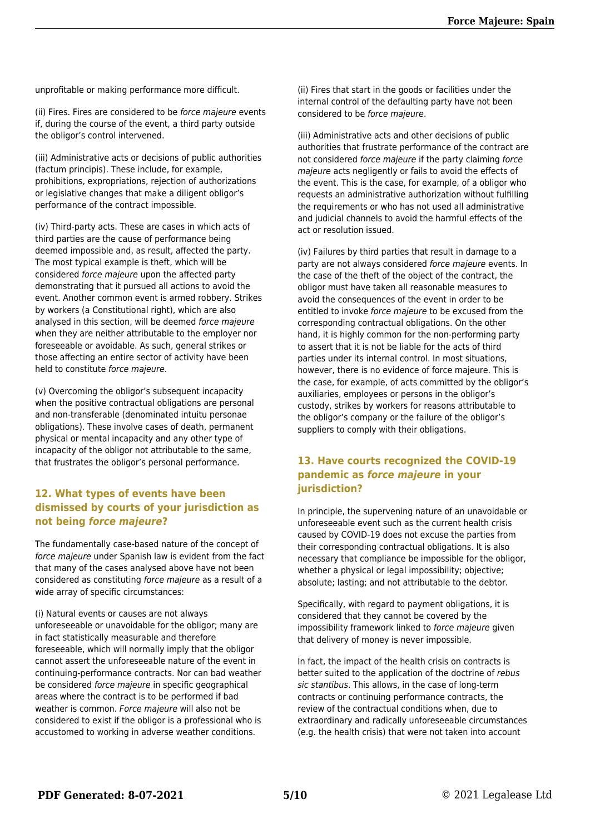unprofitable or making performance more difficult.

(ii) Fires. Fires are considered to be force majeure events if, during the course of the event, a third party outside the obligor's control intervened.

(iii) Administrative acts or decisions of public authorities (factum principis). These include, for example, prohibitions, expropriations, rejection of authorizations or legislative changes that make a diligent obligor's performance of the contract impossible.

(iv) Third-party acts. These are cases in which acts of third parties are the cause of performance being deemed impossible and, as result, affected the party. The most typical example is theft, which will be considered force majeure upon the affected party demonstrating that it pursued all actions to avoid the event. Another common event is armed robbery. Strikes by workers (a Constitutional right), which are also analysed in this section, will be deemed force majeure when they are neither attributable to the employer nor foreseeable or avoidable. As such, general strikes or those affecting an entire sector of activity have been held to constitute force majeure.

(v) Overcoming the obligor's subsequent incapacity when the positive contractual obligations are personal and non-transferable (denominated intuitu personae obligations). These involve cases of death, permanent physical or mental incapacity and any other type of incapacity of the obligor not attributable to the same, that frustrates the obligor's personal performance.

#### **12. What types of events have been dismissed by courts of your jurisdiction as not being** *force majeure***?**

The fundamentally case-based nature of the concept of force majeure under Spanish law is evident from the fact that many of the cases analysed above have not been considered as constituting force majeure as a result of a wide array of specific circumstances:

(i) Natural events or causes are not always unforeseeable or unavoidable for the obligor; many are in fact statistically measurable and therefore foreseeable, which will normally imply that the obligor cannot assert the unforeseeable nature of the event in continuing-performance contracts. Nor can bad weather be considered force majeure in specific geographical areas where the contract is to be performed if bad weather is common. Force majeure will also not be considered to exist if the obligor is a professional who is accustomed to working in adverse weather conditions.

(ii) Fires that start in the goods or facilities under the internal control of the defaulting party have not been considered to be force majeure.

(iii) Administrative acts and other decisions of public authorities that frustrate performance of the contract are not considered force majeure if the party claiming force majeure acts negligently or fails to avoid the effects of the event. This is the case, for example, of a obligor who requests an administrative authorization without fulfilling the requirements or who has not used all administrative and judicial channels to avoid the harmful effects of the act or resolution issued.

(iv) Failures by third parties that result in damage to a party are not always considered force majeure events. In the case of the theft of the object of the contract, the obligor must have taken all reasonable measures to avoid the consequences of the event in order to be entitled to invoke force majeure to be excused from the corresponding contractual obligations. On the other hand, it is highly common for the non-performing party to assert that it is not be liable for the acts of third parties under its internal control. In most situations, however, there is no evidence of force majeure. This is the case, for example, of acts committed by the obligor's auxiliaries, employees or persons in the obligor's custody, strikes by workers for reasons attributable to the obligor's company or the failure of the obligor's suppliers to comply with their obligations.

#### **13. Have courts recognized the COVID-19 pandemic as** *force majeure* **in your jurisdiction?**

In principle, the supervening nature of an unavoidable or unforeseeable event such as the current health crisis caused by COVID-19 does not excuse the parties from their corresponding contractual obligations. It is also necessary that compliance be impossible for the obligor, whether a physical or legal impossibility; objective; absolute; lasting; and not attributable to the debtor.

Specifically, with regard to payment obligations, it is considered that they cannot be covered by the impossibility framework linked to force majeure given that delivery of money is never impossible.

In fact, the impact of the health crisis on contracts is better suited to the application of the doctrine of rebus sic stantibus. This allows, in the case of long-term contracts or continuing performance contracts, the review of the contractual conditions when, due to extraordinary and radically unforeseeable circumstances (e.g. the health crisis) that were not taken into account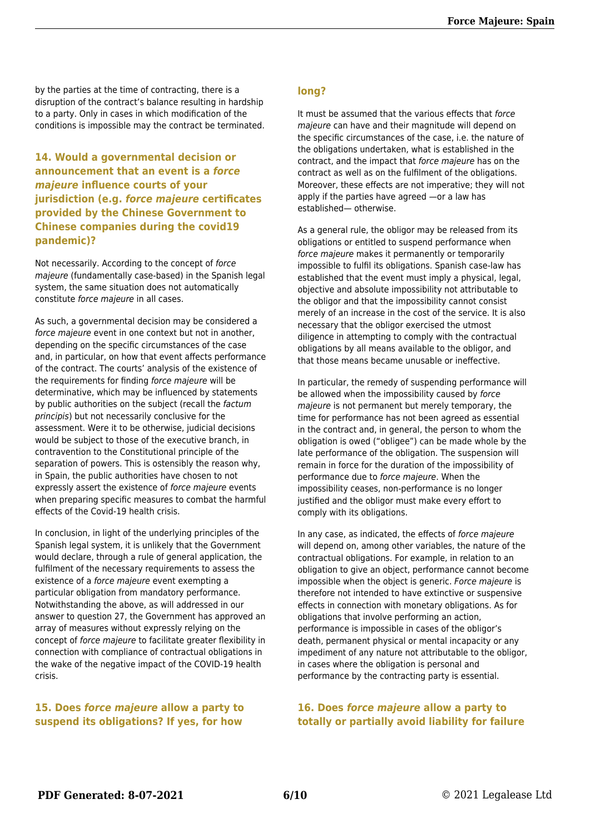by the parties at the time of contracting, there is a disruption of the contract's balance resulting in hardship to a party. Only in cases in which modification of the conditions is impossible may the contract be terminated.

#### **14. Would a governmental decision or announcement that an event is a** *force majeure* **influence courts of your jurisdiction (e.g.** *force majeure* **certificates provided by the Chinese Government to Chinese companies during the covid19 pandemic)?**

Not necessarily. According to the concept of force majeure (fundamentally case-based) in the Spanish legal system, the same situation does not automatically constitute force majeure in all cases.

As such, a governmental decision may be considered a force majeure event in one context but not in another, depending on the specific circumstances of the case and, in particular, on how that event affects performance of the contract. The courts' analysis of the existence of the requirements for finding force majeure will be determinative, which may be influenced by statements by public authorities on the subject (recall the factum principis) but not necessarily conclusive for the assessment. Were it to be otherwise, judicial decisions would be subject to those of the executive branch, in contravention to the Constitutional principle of the separation of powers. This is ostensibly the reason why, in Spain, the public authorities have chosen to not expressly assert the existence of force majeure events when preparing specific measures to combat the harmful effects of the Covid-19 health crisis.

In conclusion, in light of the underlying principles of the Spanish legal system, it is unlikely that the Government would declare, through a rule of general application, the fulfilment of the necessary requirements to assess the existence of a force majeure event exempting a particular obligation from mandatory performance. Notwithstanding the above, as will addressed in our answer to question 27, the Government has approved an array of measures without expressly relying on the concept of force majeure to facilitate greater flexibility in connection with compliance of contractual obligations in the wake of the negative impact of the COVID-19 health crisis.

#### **15. Does** *force majeure* **allow a party to suspend its obligations? If yes, for how**

#### **long?**

It must be assumed that the various effects that force majeure can have and their magnitude will depend on the specific circumstances of the case, i.e. the nature of the obligations undertaken, what is established in the contract, and the impact that force majeure has on the contract as well as on the fulfilment of the obligations. Moreover, these effects are not imperative; they will not apply if the parties have agreed —or a law has established— otherwise.

As a general rule, the obligor may be released from its obligations or entitled to suspend performance when force majeure makes it permanently or temporarily impossible to fulfil its obligations. Spanish case-law has established that the event must imply a physical, legal, objective and absolute impossibility not attributable to the obligor and that the impossibility cannot consist merely of an increase in the cost of the service. It is also necessary that the obligor exercised the utmost diligence in attempting to comply with the contractual obligations by all means available to the obligor, and that those means became unusable or ineffective.

In particular, the remedy of suspending performance will be allowed when the impossibility caused by force majeure is not permanent but merely temporary, the time for performance has not been agreed as essential in the contract and, in general, the person to whom the obligation is owed ("obligee") can be made whole by the late performance of the obligation. The suspension will remain in force for the duration of the impossibility of performance due to force majeure. When the impossibility ceases, non-performance is no longer justified and the obligor must make every effort to comply with its obligations.

In any case, as indicated, the effects of force majeure will depend on, among other variables, the nature of the contractual obligations. For example, in relation to an obligation to give an object, performance cannot become impossible when the object is generic. Force majeure is therefore not intended to have extinctive or suspensive effects in connection with monetary obligations. As for obligations that involve performing an action, performance is impossible in cases of the obligor's death, permanent physical or mental incapacity or any impediment of any nature not attributable to the obligor, in cases where the obligation is personal and performance by the contracting party is essential.

#### **16. Does** *force majeure* **allow a party to totally or partially avoid liability for failure**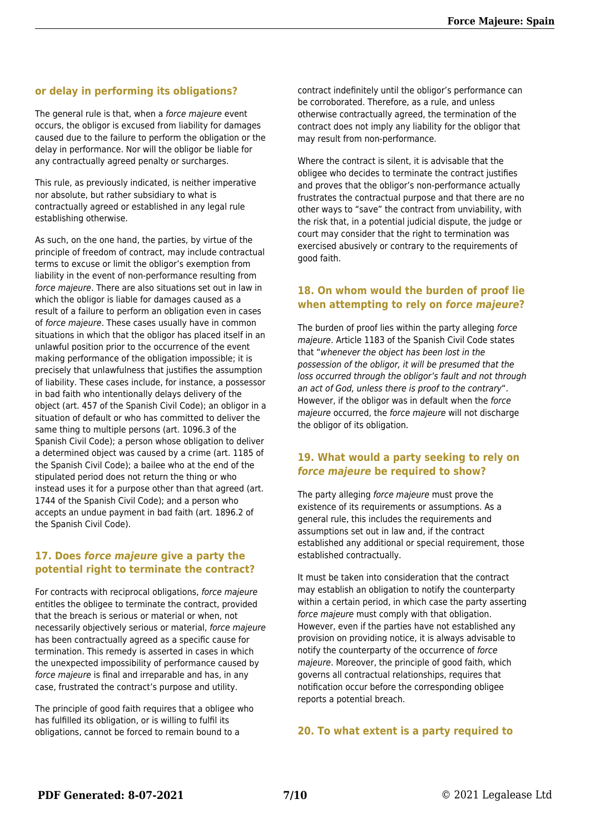#### **or delay in performing its obligations?**

The general rule is that, when a force majeure event occurs, the obligor is excused from liability for damages caused due to the failure to perform the obligation or the delay in performance. Nor will the obligor be liable for any contractually agreed penalty or surcharges.

This rule, as previously indicated, is neither imperative nor absolute, but rather subsidiary to what is contractually agreed or established in any legal rule establishing otherwise.

As such, on the one hand, the parties, by virtue of the principle of freedom of contract, may include contractual terms to excuse or limit the obligor's exemption from liability in the event of non-performance resulting from force majeure. There are also situations set out in law in which the obligor is liable for damages caused as a result of a failure to perform an obligation even in cases of force majeure. These cases usually have in common situations in which that the obligor has placed itself in an unlawful position prior to the occurrence of the event making performance of the obligation impossible; it is precisely that unlawfulness that justifies the assumption of liability. These cases include, for instance, a possessor in bad faith who intentionally delays delivery of the object (art. 457 of the Spanish Civil Code); an obligor in a situation of default or who has committed to deliver the same thing to multiple persons (art. 1096.3 of the Spanish Civil Code); a person whose obligation to deliver a determined object was caused by a crime (art. 1185 of the Spanish Civil Code); a bailee who at the end of the stipulated period does not return the thing or who instead uses it for a purpose other than that agreed (art. 1744 of the Spanish Civil Code); and a person who accepts an undue payment in bad faith (art. 1896.2 of the Spanish Civil Code).

#### **17. Does** *force majeure* **give a party the potential right to terminate the contract?**

For contracts with reciprocal obligations, force majeure entitles the obligee to terminate the contract, provided that the breach is serious or material or when, not necessarily objectively serious or material, force majeure has been contractually agreed as a specific cause for termination. This remedy is asserted in cases in which the unexpected impossibility of performance caused by force majeure is final and irreparable and has, in any case, frustrated the contract's purpose and utility.

The principle of good faith requires that a obligee who has fulfilled its obligation, or is willing to fulfil its obligations, cannot be forced to remain bound to a

contract indefinitely until the obligor's performance can be corroborated. Therefore, as a rule, and unless otherwise contractually agreed, the termination of the contract does not imply any liability for the obligor that may result from non-performance.

Where the contract is silent, it is advisable that the obligee who decides to terminate the contract justifies and proves that the obligor's non-performance actually frustrates the contractual purpose and that there are no other ways to "save" the contract from unviability, with the risk that, in a potential judicial dispute, the judge or court may consider that the right to termination was exercised abusively or contrary to the requirements of good faith.

#### **18. On whom would the burden of proof lie when attempting to rely on** *force majeure***?**

The burden of proof lies within the party alleging force majeure. Article 1183 of the Spanish Civil Code states that "whenever the object has been lost in the possession of the obligor, it will be presumed that the loss occurred through the obligor's fault and not through an act of God, unless there is proof to the contrary". However, if the obligor was in default when the force majeure occurred, the force majeure will not discharge the obligor of its obligation.

#### **19. What would a party seeking to rely on** *force majeure* **be required to show?**

The party alleging force majeure must prove the existence of its requirements or assumptions. As a general rule, this includes the requirements and assumptions set out in law and, if the contract established any additional or special requirement, those established contractually.

It must be taken into consideration that the contract may establish an obligation to notify the counterparty within a certain period, in which case the party asserting force majeure must comply with that obligation. However, even if the parties have not established any provision on providing notice, it is always advisable to notify the counterparty of the occurrence of force majeure. Moreover, the principle of good faith, which governs all contractual relationships, requires that notification occur before the corresponding obligee reports a potential breach.

#### **20. To what extent is a party required to**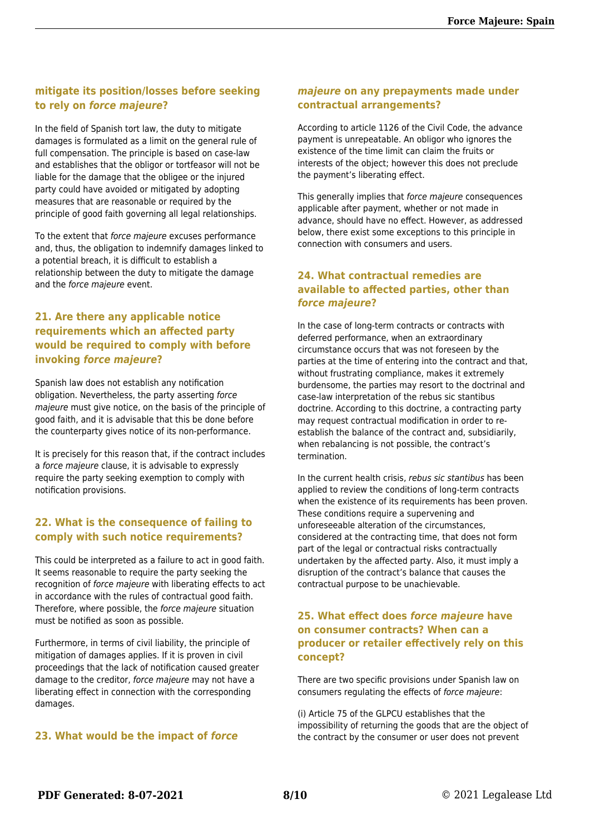#### **mitigate its position/losses before seeking to rely on** *force majeure***?**

In the field of Spanish tort law, the duty to mitigate damages is formulated as a limit on the general rule of full compensation. The principle is based on case-law and establishes that the obligor or tortfeasor will not be liable for the damage that the obligee or the injured party could have avoided or mitigated by adopting measures that are reasonable or required by the principle of good faith governing all legal relationships.

To the extent that force majeure excuses performance and, thus, the obligation to indemnify damages linked to a potential breach, it is difficult to establish a relationship between the duty to mitigate the damage and the force majeure event.

#### **21. Are there any applicable notice requirements which an affected party would be required to comply with before invoking** *force majeure***?**

Spanish law does not establish any notification obligation. Nevertheless, the party asserting force majeure must give notice, on the basis of the principle of good faith, and it is advisable that this be done before the counterparty gives notice of its non-performance.

It is precisely for this reason that, if the contract includes a force majeure clause, it is advisable to expressly require the party seeking exemption to comply with notification provisions.

#### **22. What is the consequence of failing to comply with such notice requirements?**

This could be interpreted as a failure to act in good faith. It seems reasonable to require the party seeking the recognition of force majeure with liberating effects to act in accordance with the rules of contractual good faith. Therefore, where possible, the force majeure situation must be notified as soon as possible.

Furthermore, in terms of civil liability, the principle of mitigation of damages applies. If it is proven in civil proceedings that the lack of notification caused greater damage to the creditor, force majeure may not have a liberating effect in connection with the corresponding damages.

#### **23. What would be the impact of** *force*

#### *majeure* **on any prepayments made under contractual arrangements?**

According to article 1126 of the Civil Code, the advance payment is unrepeatable. An obligor who ignores the existence of the time limit can claim the fruits or interests of the object; however this does not preclude the payment's liberating effect.

This generally implies that force majeure consequences applicable after payment, whether or not made in advance, should have no effect. However, as addressed below, there exist some exceptions to this principle in connection with consumers and users.

#### **24. What contractual remedies are available to affected parties, other than** *force majeure***?**

In the case of long-term contracts or contracts with deferred performance, when an extraordinary circumstance occurs that was not foreseen by the parties at the time of entering into the contract and that, without frustrating compliance, makes it extremely burdensome, the parties may resort to the doctrinal and case-law interpretation of the rebus sic stantibus doctrine. According to this doctrine, a contracting party may request contractual modification in order to reestablish the balance of the contract and, subsidiarily, when rebalancing is not possible, the contract's termination.

In the current health crisis, rebus sic stantibus has been applied to review the conditions of long-term contracts when the existence of its requirements has been proven. These conditions require a supervening and unforeseeable alteration of the circumstances, considered at the contracting time, that does not form part of the legal or contractual risks contractually undertaken by the affected party. Also, it must imply a disruption of the contract's balance that causes the contractual purpose to be unachievable.

#### **25. What effect does** *force majeure* **have on consumer contracts? When can a producer or retailer effectively rely on this concept?**

There are two specific provisions under Spanish law on consumers regulating the effects of force majeure:

(i) Article 75 of the GLPCU establishes that the impossibility of returning the goods that are the object of the contract by the consumer or user does not prevent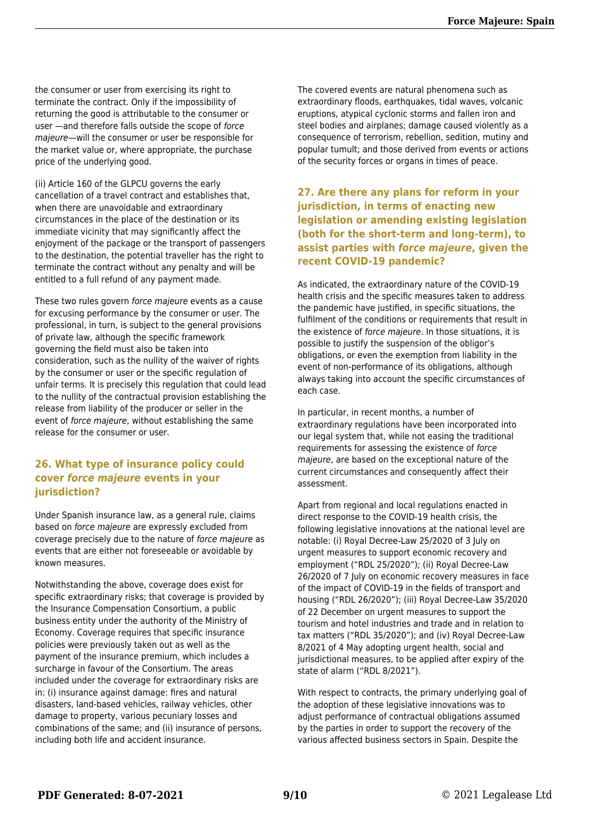the consumer or user from exercising its right to terminate the contract. Only if the impossibility of returning the good is attributable to the consumer or user —and therefore falls outside the scope of force majeure—will the consumer or user be responsible for the market value or, where appropriate, the purchase price of the underlying good.

(ii) Article 160 of the GLPCU governs the early cancellation of a travel contract and establishes that, when there are unavoidable and extraordinary circumstances in the place of the destination or its immediate vicinity that may significantly affect the enjoyment of the package or the transport of passengers to the destination, the potential traveller has the right to terminate the contract without any penalty and will be entitled to a full refund of any payment made.

These two rules govern force majeure events as a cause for excusing performance by the consumer or user. The professional, in turn, is subject to the general provisions of private law, although the specific framework governing the field must also be taken into consideration, such as the nullity of the waiver of rights by the consumer or user or the specific regulation of unfair terms. It is precisely this regulation that could lead to the nullity of the contractual provision establishing the release from liability of the producer or seller in the event of force majeure, without establishing the same release for the consumer or user.

#### **26. What type of insurance policy could cover** *force majeure* **events in your jurisdiction?**

Under Spanish insurance law, as a general rule, claims based on force majeure are expressly excluded from coverage precisely due to the nature of force majeure as events that are either not foreseeable or avoidable by known measures.

Notwithstanding the above, coverage does exist for specific extraordinary risks; that coverage is provided by the Insurance Compensation Consortium, a public business entity under the authority of the Ministry of Economy. Coverage requires that specific insurance policies were previously taken out as well as the payment of the insurance premium, which includes a surcharge in favour of the Consortium. The areas included under the coverage for extraordinary risks are in: (i) insurance against damage: fires and natural disasters, land-based vehicles, railway vehicles, other damage to property, various pecuniary losses and combinations of the same; and (ii) insurance of persons, including both life and accident insurance.

The covered events are natural phenomena such as extraordinary floods, earthquakes, tidal waves, volcanic eruptions, atypical cyclonic storms and fallen iron and steel bodies and airplanes; damage caused violently as a consequence of terrorism, rebellion, sedition, mutiny and popular tumult; and those derived from events or actions of the security forces or organs in times of peace.

**27. Are there any plans for reform in your jurisdiction, in terms of enacting new legislation or amending existing legislation (both for the short-term and long-term), to assist parties with** *force majeure***, given the recent COVID-19 pandemic?**

As indicated, the extraordinary nature of the COVID-19 health crisis and the specific measures taken to address the pandemic have justified, in specific situations, the fulfilment of the conditions or requirements that result in the existence of force majeure. In those situations, it is possible to justify the suspension of the obligor's obligations, or even the exemption from liability in the event of non-performance of its obligations, although always taking into account the specific circumstances of each case.

In particular, in recent months, a number of extraordinary regulations have been incorporated into our legal system that, while not easing the traditional requirements for assessing the existence of force majeure, are based on the exceptional nature of the current circumstances and consequently affect their assessment.

Apart from regional and local regulations enacted in direct response to the COVID-19 health crisis, the following legislative innovations at the national level are notable: (i) Royal Decree-Law 25/2020 of 3 July on urgent measures to support economic recovery and employment ("RDL 25/2020"); (ii) Royal Decree-Law 26/2020 of 7 July on economic recovery measures in face of the impact of COVID-19 in the fields of transport and housing ("RDL 26/2020"); (iii) Royal Decree-Law 35/2020 of 22 December on urgent measures to support the tourism and hotel industries and trade and in relation to tax matters ("RDL 35/2020"); and (iv) Royal Decree-Law 8/2021 of 4 May adopting urgent health, social and jurisdictional measures, to be applied after expiry of the state of alarm ("RDL 8/2021").

With respect to contracts, the primary underlying goal of the adoption of these legislative innovations was to adjust performance of contractual obligations assumed by the parties in order to support the recovery of the various affected business sectors in Spain. Despite the